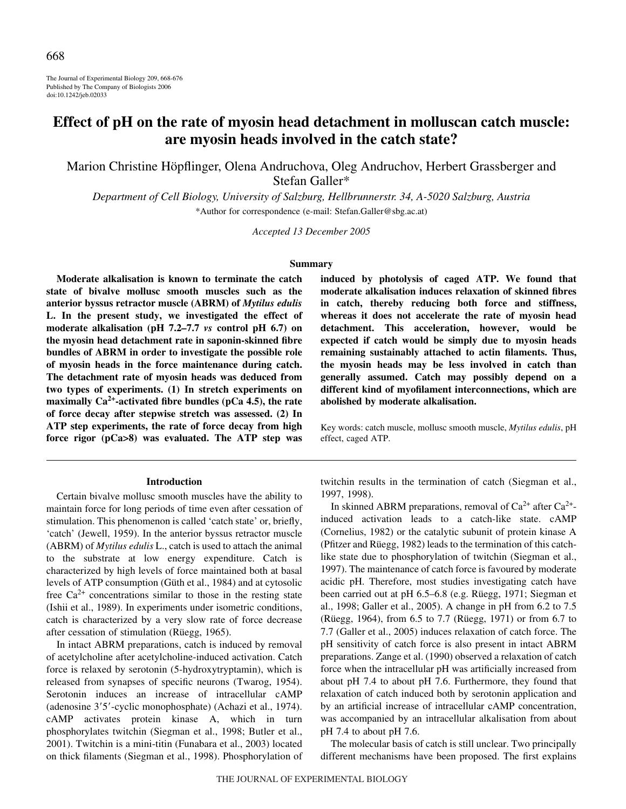The Journal of Experimental Biology 209, 668-676 Published by The Company of Biologists 2006 doi:10.1242/jeb.02033

# **Effect of pH on the rate of myosin head detachment in molluscan catch muscle: are myosin heads involved in the catch state?**

Marion Christine Höpflinger, Olena Andruchova, Oleg Andruchov, Herbert Grassberger and Stefan Galler\*

*Department of Cell Biology, University of Salzburg, Hellbrunnerstr. 34, A-5020 Salzburg, Austria* \*Author for correspondence (e-mail: Stefan.Galler@sbg.ac.at)

*Accepted 13 December 2005*

#### **Summary**

**Moderate alkalisation is known to terminate the catch state of bivalve mollusc smooth muscles such as the anterior byssus retractor muscle (ABRM) of** *Mytilus edulis* **L. In the present study, we investigated the effect of moderate alkalisation (pH 7.2–7.7** *vs* **control pH 6.7) on the myosin head detachment rate in saponin-skinned fibre bundles of ABRM in order to investigate the possible role of myosin heads in the force maintenance during catch. The detachment rate of myosin heads was deduced from two types of experiments. (1) In stretch experiments on maximally Ca2+-activated fibre bundles (pCa 4.5), the rate of force decay after stepwise stretch was assessed. (2) In ATP step experiments, the rate of force decay from high force rigor (pCa>8) was evaluated. The ATP step was**

#### **Introduction**

Certain bivalve mollusc smooth muscles have the ability to maintain force for long periods of time even after cessation of stimulation. This phenomenon is called 'catch state' or, briefly, 'catch' (Jewell, 1959). In the anterior byssus retractor muscle (ABRM) of *Mytilus edulis* L., catch is used to attach the animal to the substrate at low energy expenditure. Catch is characterized by high levels of force maintained both at basal levels of ATP consumption (Güth et al., 1984) and at cytosolic free  $Ca^{2+}$  concentrations similar to those in the resting state (Ishii et al., 1989). In experiments under isometric conditions, catch is characterized by a very slow rate of force decrease after cessation of stimulation (Rüegg, 1965).

In intact ABRM preparations, catch is induced by removal of acetylcholine after acetylcholine-induced activation. Catch force is relaxed by serotonin (5-hydroxytryptamin), which is released from synapses of specific neurons (Twarog, 1954). Serotonin induces an increase of intracellular cAMP (adenosine 3'5'-cyclic monophosphate) (Achazi et al., 1974). cAMP activates protein kinase A, which in turn phosphorylates twitchin (Siegman et al., 1998; Butler et al., 2001). Twitchin is a mini-titin (Funabara et al., 2003) located on thick filaments (Siegman et al., 1998). Phosphorylation of **induced by photolysis of caged ATP. We found that moderate alkalisation induces relaxation of skinned fibres in catch, thereby reducing both force and stiffness, whereas it does not accelerate the rate of myosin head detachment. This acceleration, however, would be expected if catch would be simply due to myosin heads remaining sustainably attached to actin filaments. Thus, the myosin heads may be less involved in catch than generally assumed. Catch may possibly depend on a different kind of myofilament interconnections, which are abolished by moderate alkalisation.**

Key words: catch muscle, mollusc smooth muscle, *Mytilus edulis*, pH effect, caged ATP.

twitchin results in the termination of catch (Siegman et al., 1997, 1998).

In skinned ABRM preparations, removal of  $Ca^{2+}$  after  $Ca^{2+}$ induced activation leads to a catch-like state. cAMP (Cornelius, 1982) or the catalytic subunit of protein kinase A (Pfitzer and Rüegg, 1982) leads to the termination of this catchlike state due to phosphorylation of twitchin (Siegman et al., 1997). The maintenance of catch force is favoured by moderate acidic pH. Therefore, most studies investigating catch have been carried out at pH 6.5–6.8 (e.g. Rüegg, 1971; Siegman et al., 1998; Galler et al., 2005). A change in pH from 6.2 to 7.5 (Rüegg, 1964), from 6.5 to 7.7 (Rüegg, 1971) or from 6.7 to 7.7 (Galler et al., 2005) induces relaxation of catch force. The pH sensitivity of catch force is also present in intact ABRM preparations. Zange et al. (1990) observed a relaxation of catch force when the intracellular pH was artificially increased from about pH 7.4 to about pH 7.6. Furthermore, they found that relaxation of catch induced both by serotonin application and by an artificial increase of intracellular cAMP concentration, was accompanied by an intracellular alkalisation from about pH 7.4 to about pH 7.6.

The molecular basis of catch is still unclear. Two principally different mechanisms have been proposed. The first explains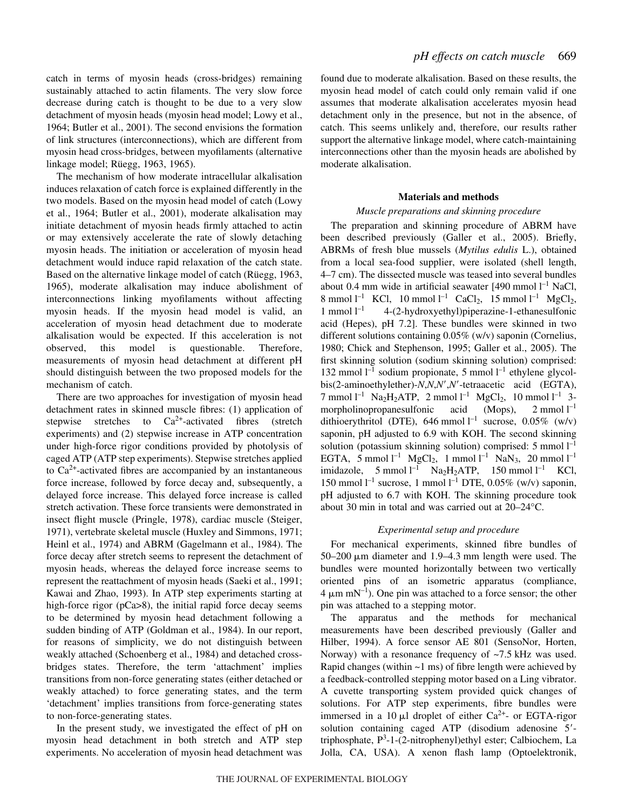catch in terms of myosin heads (cross-bridges) remaining sustainably attached to actin filaments. The very slow force decrease during catch is thought to be due to a very slow detachment of myosin heads (myosin head model; Lowy et al., 1964; Butler et al., 2001). The second envisions the formation of link structures (interconnections), which are different from myosin head cross-bridges, between myofilaments (alternative linkage model; Rüegg, 1963, 1965).

The mechanism of how moderate intracellular alkalisation induces relaxation of catch force is explained differently in the two models. Based on the myosin head model of catch (Lowy et al., 1964; Butler et al., 2001), moderate alkalisation may initiate detachment of myosin heads firmly attached to actin or may extensively accelerate the rate of slowly detaching myosin heads. The initiation or acceleration of myosin head detachment would induce rapid relaxation of the catch state. Based on the alternative linkage model of catch (Rüegg, 1963, 1965), moderate alkalisation may induce abolishment of interconnections linking myofilaments without affecting myosin heads. If the myosin head model is valid, an acceleration of myosin head detachment due to moderate alkalisation would be expected. If this acceleration is not observed, this model is questionable. Therefore, measurements of myosin head detachment at different pH should distinguish between the two proposed models for the mechanism of catch.

There are two approaches for investigation of myosin head detachment rates in skinned muscle fibres: (1) application of stepwise stretches to  $Ca^{2+}$ -activated fibres (stretch experiments) and (2) stepwise increase in ATP concentration under high-force rigor conditions provided by photolysis of caged ATP (ATP step experiments). Stepwise stretches applied to  $Ca<sup>2+</sup>$ -activated fibres are accompanied by an instantaneous force increase, followed by force decay and, subsequently, a delayed force increase. This delayed force increase is called stretch activation. These force transients were demonstrated in insect flight muscle (Pringle, 1978), cardiac muscle (Steiger, 1971), vertebrate skeletal muscle (Huxley and Simmons, 1971; Heinl et al., 1974) and ABRM (Gagelmann et al., 1984). The force decay after stretch seems to represent the detachment of myosin heads, whereas the delayed force increase seems to represent the reattachment of myosin heads (Saeki et al., 1991; Kawai and Zhao, 1993). In ATP step experiments starting at high-force rigor (pCa>8), the initial rapid force decay seems to be determined by myosin head detachment following a sudden binding of ATP (Goldman et al., 1984). In our report, for reasons of simplicity, we do not distinguish between weakly attached (Schoenberg et al., 1984) and detached crossbridges states. Therefore, the term 'attachment' implies transitions from non-force generating states (either detached or weakly attached) to force generating states, and the term 'detachment' implies transitions from force-generating states to non-force-generating states.

In the present study, we investigated the effect of pH on myosin head detachment in both stretch and ATP step experiments. No acceleration of myosin head detachment was

found due to moderate alkalisation. Based on these results, the myosin head model of catch could only remain valid if one assumes that moderate alkalisation accelerates myosin head detachment only in the presence, but not in the absence, of catch. This seems unlikely and, therefore, our results rather support the alternative linkage model, where catch-maintaining interconnections other than the myosin heads are abolished by moderate alkalisation.

## **Materials and methods**

# *Muscle preparations and skinning procedure*

The preparation and skinning procedure of ABRM have been described previously (Galler et al., 2005). Briefly, ABRMs of fresh blue mussels (*Mytilus edulis* L.), obtained from a local sea-food supplier, were isolated (shell length, 4–7 cm). The dissected muscle was teased into several bundles about 0.4 mm wide in artificial seawater  $[490 \text{ mmol } l^{-1}$  NaCl, 8 mmol  $l^{-1}$  KCl, 10 mmol  $l^{-1}$  CaCl<sub>2</sub>, 15 mmol  $l^{-1}$  MgCl<sub>2</sub>, 1 mmol  $l^{-1}$ –1 4-(2-hydroxyethyl)piperazine-1-ethanesulfonic acid (Hepes), pH 7.2]. These bundles were skinned in two different solutions containing 0.05% (w/v) saponin (Cornelius, 1980; Chick and Stephenson, 1995; Galler et al., 2005). The first skinning solution (sodium skinning solution) comprised: 132 mmol  $l^{-1}$  sodium propionate, 5 mmol  $l^{-1}$  ethylene glycolbis(2-aminoethylether)-*N*,*N*,*N'*,*N'*-tetraacetic acid (EGTA), 7 mmol  $l^{-1}$  Na<sub>2</sub>H<sub>2</sub>ATP, 2 mmol  $l^{-1}$  MgCl<sub>2</sub>, 10 mmol  $l^{-1}$  3morpholinopropanesulfonic acid (Mops),  $2$  mmol  $l^{-1}$ dithioerythritol (DTE), 646 mmol<sup>1-1</sup> sucrose, 0.05% (w/v) saponin, pH adjusted to 6.9 with KOH. The second skinning solution (potassium skinning solution) comprised:  $5 \text{ mmol } l^{-1}$ EGTA, 5 mmol  $l^{-1}$  MgCl<sub>2</sub>, 1 mmol  $l^{-1}$  NaN<sub>3</sub>, 20 mmol  $l^{-1}$ imidazole, 5 mmol  $l^{-1}$  Na<sub>2</sub>H<sub>2</sub>ATP, 150 mmol  $l^{-1}$  KCl, 150 mmol<sup>1-1</sup> sucrose, 1 mmol<sup>1-1</sup> DTE, 0.05% (w/v) saponin, pH adjusted to 6.7 with KOH. The skinning procedure took about 30 min in total and was carried out at  $20-24$ °C.

# *Experimental setup and procedure*

For mechanical experiments, skinned fibre bundles of 50–200  $\mu$ m diameter and 1.9–4.3 mm length were used. The bundles were mounted horizontally between two vertically oriented pins of an isometric apparatus (compliance,  $4 \mu m$  mN<sup>-1</sup>). One pin was attached to a force sensor; the other pin was attached to a stepping motor.

The apparatus and the methods for mechanical measurements have been described previously (Galler and Hilber, 1994). A force sensor AE 801 (SensoNor, Horten, Norway) with a resonance frequency of  $\sim$ 7.5 kHz was used. Rapid changes (within  $\sim$ 1 ms) of fibre length were achieved by a feedback-controlled stepping motor based on a Ling vibrator. A cuvette transporting system provided quick changes of solutions. For ATP step experiments, fibre bundles were immersed in a 10  $\mu$ l droplet of either Ca<sup>2+</sup>- or EGTA-rigor solution containing caged ATP (disodium adenosine 5'triphosphate, P3 -1-(2-nitrophenyl)ethyl ester; Calbiochem, La Jolla, CA, USA). A xenon flash lamp (Optoelektronik,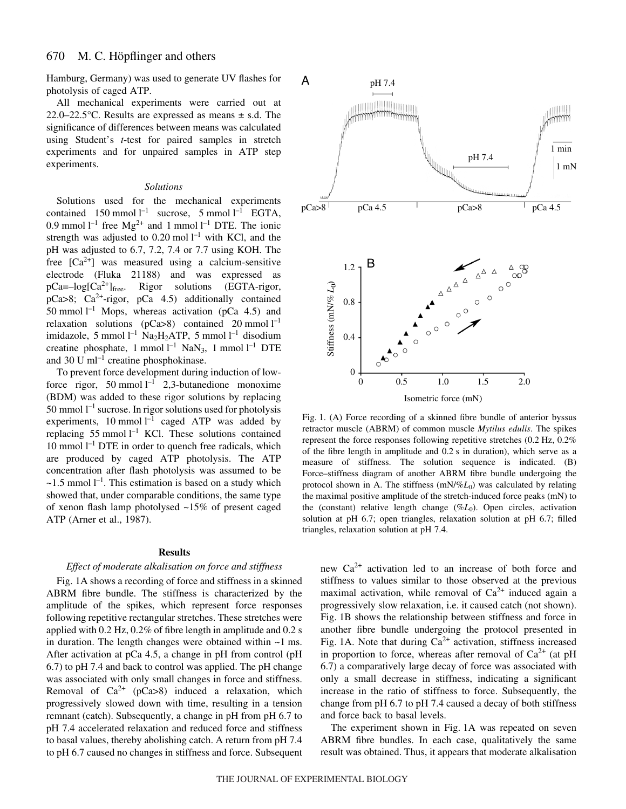Hamburg, Germany) was used to generate UV flashes for photolysis of caged ATP.

All mechanical experiments were carried out at 22.0–22.5 $\degree$ C. Results are expressed as means  $\pm$  s.d. The significance of differences between means was calculated using Student's *t*-test for paired samples in stretch experiments and for unpaired samples in ATP step experiments.

## *Solutions*

Solutions used for the mechanical experiments contained  $150$  mmol  $l^{-1}$  sucrose, 5 mmol  $l^{-1}$  EGTA, 0.9 mmol  $l^{-1}$  free Mg<sup>2+</sup> and 1 mmol  $l^{-1}$  DTE. The ionic strength was adjusted to 0.20 mol  $l^{-1}$  with KCl, and the pH was adjusted to 6.7, 7.2, 7.4 or 7.7 using KOH. The free  $[Ca^{2+}]$  was measured using a calcium-sensitive electrode (Fluka 21188) and was expressed as  $pCa = -log[Ca^{2+}]_{free}$ . Rigor solutions (EGTA-rigor,  $pCa > 8$ ;  $Ca<sup>2+</sup>-rigor$ ,  $pCa \, 4.5$ ) additionally contained 50 mmol  $l^{-1}$  Mops, whereas activation (pCa 4.5) and relaxation solutions ( $p$ Ca>8) contained 20 mmol  $l^{-1}$ imidazole, 5 mmol  $l^{-1}$  Na<sub>2</sub>H<sub>2</sub>ATP, 5 mmol  $l^{-1}$  disodium creatine phosphate, 1 mmol  $l^{-1}$  NaN<sub>3</sub>, 1 mmol  $l^{-1}$  DTE and 30 U  $ml^{-1}$  creatine phosphokinase.

To prevent force development during induction of lowforce rigor, 50 mmol  $l^{-1}$  2,3-butanedione monoxime (BDM) was added to these rigor solutions by replacing 50 mmol  $l^{-1}$  sucrose. In rigor solutions used for photolysis experiments, 10 mmol  $l^{-1}$  caged ATP was added by replacing 55 mmol  $l^{-1}$  KCl. These solutions contained 10 mmol  $l^{-1}$  DTE in order to quench free radicals, which are produced by caged ATP photolysis. The ATP concentration after flash photolysis was assumed to be  $\sim$ 1.5 mmol l<sup>-1</sup>. This estimation is based on a study which showed that, under comparable conditions, the same type of xenon flash lamp photolysed ~15% of present caged ATP (Arner et al., 1987).

#### **Results**

#### *Effect of moderate alkalisation on force and stiffness*

Fig. 1A shows a recording of force and stiffness in a skinned ABRM fibre bundle. The stiffness is characterized by the amplitude of the spikes, which represent force responses following repetitive rectangular stretches. These stretches were applied with 0.2 Hz,  $0.2\%$  of fibre length in amplitude and 0.2 s in duration. The length changes were obtained within  $\sim$ 1 ms. After activation at pCa 4.5, a change in pH from control (pH 6.7) to pH 7.4 and back to control was applied. The pH change was associated with only small changes in force and stiffness. Removal of  $Ca^{2+}$  (pCa>8) induced a relaxation, which progressively slowed down with time, resulting in a tension remnant (catch). Subsequently, a change in pH from pH 6.7 to pH 7.4 accelerated relaxation and reduced force and stiffness to basal values, thereby abolishing catch. A return from pH 7.4 to pH 6.7 caused no changes in stiffness and force. Subsequent



Fig. 1. (A) Force recording of a skinned fibre bundle of anterior byssus retractor muscle (ABRM) of common muscle *Mytilus edulis*. The spikes represent the force responses following repetitive stretches  $(0.2~\text{Hz}, 0.2\%$ of the fibre length in amplitude and  $0.2 s$  in duration), which serve as a measure of stiffness. The solution sequence is indicated. (B) Force–stiffness diagram of another ABRM fibre bundle undergoing the protocol shown in A. The stiffness  $(mN\%L_0)$  was calculated by relating the maximal positive amplitude of the stretch-induced force peaks (mN) to the (constant) relative length change (%*L*<sub>0</sub>). Open circles, activation solution at pH 6.7; open triangles, relaxation solution at pH 6.7; filled triangles, relaxation solution at pH 7.4.

new  $Ca^{2+}$  activation led to an increase of both force and stiffness to values similar to those observed at the previous maximal activation, while removal of  $Ca^{2+}$  induced again a progressively slow relaxation, i.e. it caused catch (not shown). Fig. 1B shows the relationship between stiffness and force in another fibre bundle undergoing the protocol presented in Fig. 1A. Note that during  $Ca^{2+}$  activation, stiffness increased in proportion to force, whereas after removal of  $Ca^{2+}$  (at pH 6.7) a comparatively large decay of force was associated with only a small decrease in stiffness, indicating a significant increase in the ratio of stiffness to force. Subsequently, the change from pH 6.7 to pH 7.4 caused a decay of both stiffness and force back to basal levels.

The experiment shown in Fig. 1A was repeated on seven ABRM fibre bundles. In each case, qualitatively the same result was obtained. Thus, it appears that moderate alkalisation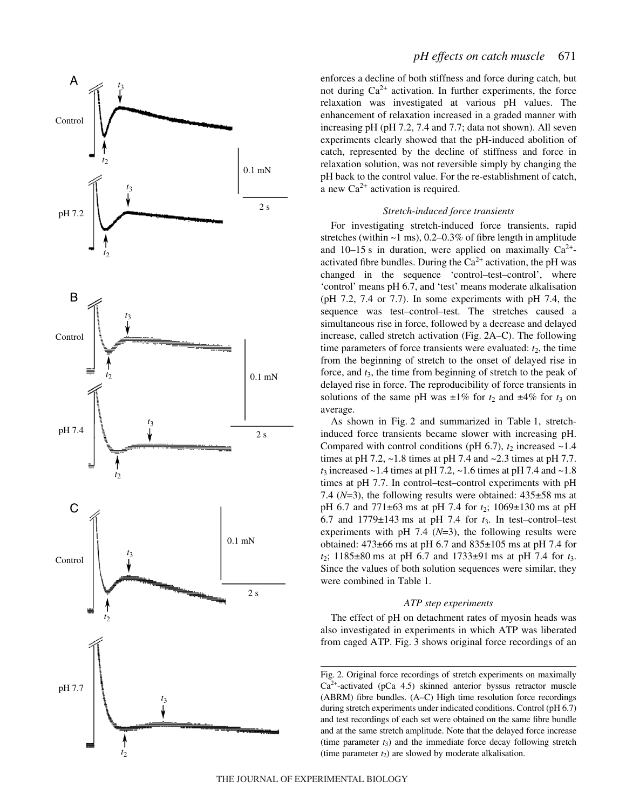

enforces a decline of both stiffness and force during catch, but not during  $Ca^{2+}$  activation. In further experiments, the force relaxation was investigated at various pH values. The enhancement of relaxation increased in a graded manner with increasing pH (pH 7.2, 7.4 and 7.7; data not shown). All seven experiments clearly showed that the pH-induced abolition of catch, represented by the decline of stiffness and force in relaxation solution, was not reversible simply by changing the pH back to the control value. For the re-establishment of catch, a new  $Ca^{2+}$  activation is required.

# *Stretch-induced force transients*

For investigating stretch-induced force transients, rapid stretches (within  $\sim$ 1 ms), 0.2–0.3% of fibre length in amplitude and 10–15 s in duration, were applied on maximally  $Ca^{2+}$ activated fibre bundles. During the  $Ca^{2+}$  activation, the pH was changed in the sequence 'control–test–control', where 'control' means pH 6.7, and 'test' means moderate alkalisation (pH 7.2, 7.4 or 7.7). In some experiments with pH 7.4, the sequence was test–control–test. The stretches caused a simultaneous rise in force, followed by a decrease and delayed increase, called stretch activation (Fig. 2A–C). The following time parameters of force transients were evaluated: *t* 2, the time from the beginning of stretch to the onset of delayed rise in force, and *t* 3, the time from beginning of stretch to the peak of delayed rise in force. The reproducibility of force transients in solutions of the same pH was  $\pm 1\%$  for  $t_2$  and  $\pm 4\%$  for  $t_3$  on average.

As shown in Fig. 2 and summarized in Table 1, stretchinduced force transients became slower with increasing pH. Compared with control conditions (pH  $6.7$ ),  $t_2$  increased  $\sim$ 1.4 times at pH 7.2, ~1.8 times at pH 7.4 and ~2.3 times at pH 7.7. *t*<sup>3</sup> increased ~1.4 times at pH 7.2, ~1.6 times at pH 7.4 and ~1.8 times at pH 7.7. In control–test–control experiments with pH 7.4 ( $N=3$ ), the following results were obtained:  $435\pm58$  ms at pH 6.7 and 771±63 ·ms at pH 7.4 for *t* 2; 1069±130 ·ms at pH 6.7 and  $1779\pm143$  ms at pH 7.4 for  $t_3$ . In test-control-test experiments with pH  $7.4$  ( $N=3$ ), the following results were obtained: 473±66 ·ms at pH 6.7 and 835±105 ·ms at pH 7.4 for  $t_2$ ; 1185 $\pm$ 80 ms at pH 6.7 and 1733 $\pm$ 91 ms at pH 7.4 for  $t_3$ . Since the values of both solution sequences were similar, they were combined in Table 1.

## *ATP step experiments*

The effect of pH on detachment rates of myosin heads was also investigated in experiments in which ATP was liberated from caged ATP. Fig. 3 shows original force recordings of an

Fig. 2. Original force recordings of stretch experiments on maximally  $Ca<sup>2+</sup>$ -activated (pCa 4.5) skinned anterior byssus retractor muscle (ABRM) fibre bundles. (A–C) High time resolution force recordings during stretch experiments under indicated conditions. Control (pH 6.7) and test recordings of each set were obtained on the same fibre bundle and at the same stretch amplitude. Note that the delayed force increase (time parameter  $t_3$ ) and the immediate force decay following stretch (time parameter  $t_2$ ) are slowed by moderate alkalisation.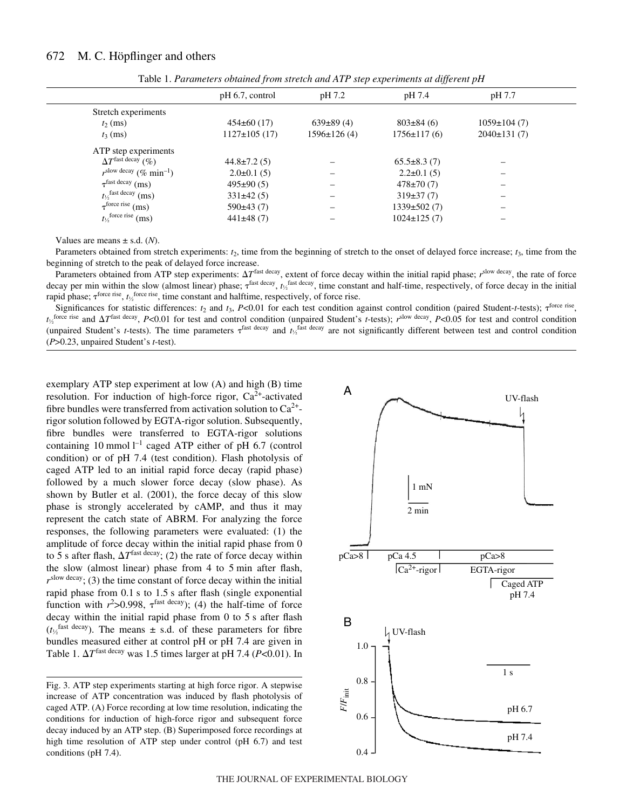|                                                | $\cdot$           |                    |                   |                   |  |
|------------------------------------------------|-------------------|--------------------|-------------------|-------------------|--|
|                                                | $pH$ 6.7, control | pH 7.2             | pH 7.4            | pH 7.7            |  |
| Stretch experiments                            |                   |                    |                   |                   |  |
| $t_2$ (ms)                                     | $454\pm60(17)$    | $639\pm89(4)$      | $803\pm84(6)$     | $1059 \pm 104(7)$ |  |
| $t_3$ (ms)                                     | $1127\pm 105(17)$ | $1596 \pm 126$ (4) | $1756 \pm 117(6)$ | $2040\pm131(7)$   |  |
| ATP step experiments                           |                   |                    |                   |                   |  |
| $\Delta T^{\text{fast decay}}$ (%)             | $44.8 \pm 7.2(5)$ |                    | $65.5\pm8.3(7)$   |                   |  |
| $r^{\text{slow decay}}$ (% min <sup>-1</sup> ) | $2.0\pm0.1(5)$    |                    | $2.2 \pm 0.1(5)$  |                   |  |
| $\tau^{\text{fast decay}}$ (ms)                | $495\pm90(5)$     |                    | $478 \pm 70(7)$   |                   |  |
| $t\frac{1}{2}$ fast decay (ms)                 | $331\pm42(5)$     |                    | $319\pm37(7)$     |                   |  |
| $\tau^{\text{force rise}}$ (ms)                | 590±43(7)         |                    | $1339 \pm 502(7)$ |                   |  |
| $t_{\frac{1}{2}}$ force rise (ms)              | $441\pm48(7)$     |                    | $1024 \pm 125(7)$ |                   |  |

Table 1. *Parameters obtained from stretch and ATP step experiments at different pH*

Values are means  $\pm$  s.d. (*N*).

Parameters obtained from stretch experiments:  $t_2$ , time from the beginning of stretch to the onset of delayed force increase;  $t_3$ , time from the beginning of stretch to the peak of delayed force increase.

Parameters obtained from ATP step experiments:  $\Delta T^{\text{fast decay}}$ , extent of force decay within the initial rapid phase;  $r^{\text{slow decay}}$ , the rate of force decay per min within the slow (almost linear) phase;  $\tau^{\text{fast decay}}$ ,  $t_2^{\text{fast decay}}$ , time constant and half-time, respectively, of force decay in the initial rapid phase;  $\tau^{\text{force rise}}$ ,  $t_{\frac{1}{2}}^{\text{force rise}}$ , time constant and halftime, respectively, of force rise.

Significances for statistic differences:  $t_2$  and  $t_3$ ,  $P<0.01$  for each test condition against control condition (paired Student-*t*-tests);  $\tau^{\text{force rise}}$  $t_{\frac{1}{2}}$  force rise and  $\Delta T^{\text{fast decay}}$ , *P<*0.01 for test and control condition (unpaired Student's *t*-tests);  $r^{\text{slow decay}}$ , *P<*0.05 for test and control condition (unpaired Student's *t*-tests). The time parameters  $\tau^{\text{fast decay}}$  and  $t_2^{\text{fast decay}}$  are not significantly different between test and control condition (*P*>0.23, unpaired Student's *t*-test).

exemplary ATP step experiment at low (A) and high (B) time resolution. For induction of high-force rigor,  $Ca^{2+}$ -activated fibre bundles were transferred from activation solution to  $Ca^{2+}$ rigor solution followed by EGTA-rigor solution. Subsequently, fibre bundles were transferred to EGTA-rigor solutions containing 10 mmol  $l^{-1}$  caged ATP either of pH 6.7 (control condition) or of pH 7.4 (test condition). Flash photolysis of caged ATP led to an initial rapid force decay (rapid phase) followed by a much slower force decay (slow phase). As shown by Butler et al. (2001), the force decay of this slow phase is strongly accelerated by cAMP, and thus it may represent the catch state of ABRM. For analyzing the force responses, the following parameters were evaluated: (1) the amplitude of force decay within the initial rapid phase from 0 to 5 s after flash,  $\Delta T^{\text{fast decay}}$ ; (2) the rate of force decay within the slow (almost linear) phase from  $4$  to  $5$  min after flash,  $r^{\text{slow decay}}$ ; (3) the time constant of force decay within the initial rapid phase from  $0.1$  s to  $1.5$  s after flash (single exponential function with  $r^2 > 0.998$ ,  $\tau^{\text{fast decay}}$ ; (4) the half-time of force decay within the initial rapid phase from  $0$  to  $5s$  after flash  $(t<sub>2</sub><sup>fast decay</sup>)$ . The means  $\pm$  s.d. of these parameters for fibre bundles measured either at control pH or pH 7.4 are given in Table 1.  $\Delta T^{\text{fast decay}}$  was 1.5 times larger at pH 7.4 ( $P<0.01$ ). In

Fig. 3. ATP step experiments starting at high force rigor. A stepwise increase of ATP concentration was induced by flash photolysis of caged ATP. (A) Force recording at low time resolution, indicating the conditions for induction of high-force rigor and subsequent force decay induced by an ATP step. (B) Superimposed force recordings at high time resolution of ATP step under control (pH 6.7) and test conditions (pH 7.4).

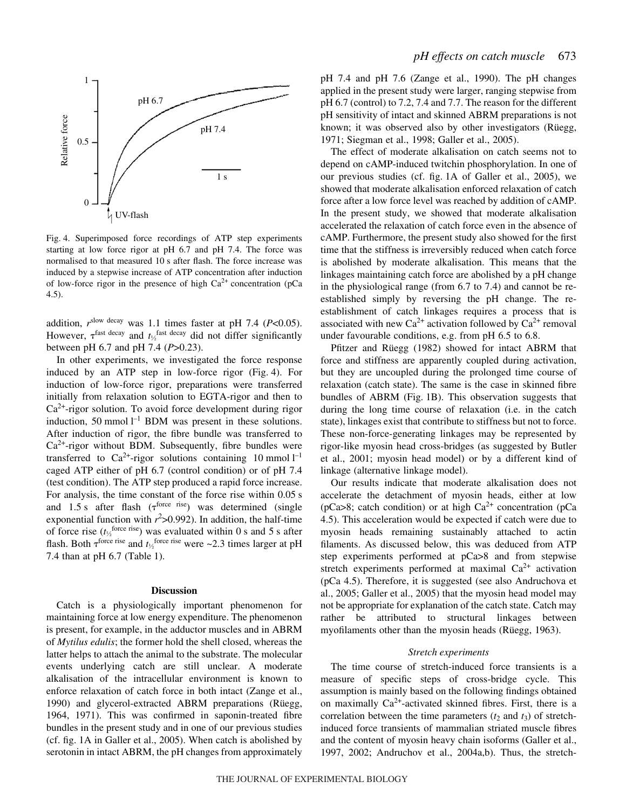

Fig. 4. Superimposed force recordings of ATP step experiments starting at low force rigor at pH 6.7 and pH 7.4. The force was normalised to that measured 10 s after flash. The force increase was induced by a stepwise increase of ATP concentration after induction of low-force rigor in the presence of high  $Ca^{2+}$  concentration (pCa 4.5).

addition, *r*slow decay was 1.1 times faster at pH 7.4 (*P*<0.05). However,  $\tau^{\text{fast decay}}$  and  $t_{\gamma_2}^{\text{fast decay}}$  did not differ significantly between pH 6.7 and pH 7.4 (*P*>0.23).

In other experiments, we investigated the force response induced by an ATP step in low-force rigor (Fig. 4). For induction of low-force rigor, preparations were transferred initially from relaxation solution to EGTA-rigor and then to  $Ca<sup>2+</sup>$ -rigor solution. To avoid force development during rigor induction, 50 mmol  $l^{-1}$  BDM was present in these solutions. After induction of rigor, the fibre bundle was transferred to  $Ca^{2+}$ -rigor without BDM. Subsequently, fibre bundles were transferred to  $Ca^{2+}$ -rigor solutions containing 10 mmol  $I^{-1}$ caged ATP either of pH 6.7 (control condition) or of pH 7.4 (test condition). The ATP step produced a rapid force increase. For analysis, the time constant of the force rise within 0.05 s and 1.5 s after flash ( $\tau^{\text{force rise}}$ ) was determined (single exponential function with  $r^2 > 0.992$ ). In addition, the half-time of force rise  $(t_2^{\text{force rise}})$  was evaluated within 0 s and 5 s after flash. Both  $\tau^{\text{force rise}}$  and  $t_{\frac{1}{2}}^{\text{force rise}}$  were ~2.3 times larger at pH 7.4 than at pH  $6.7$  (Table 1).

#### **Discussion**

Catch is a physiologically important phenomenon for maintaining force at low energy expenditure. The phenomenon is present, for example, in the adductor muscles and in ABRM of *Mytilus edulis*; the former hold the shell closed, whereas the latter helps to attach the animal to the substrate. The molecular events underlying catch are still unclear. A moderate alkalisation of the intracellular environment is known to enforce relaxation of catch force in both intact (Zange et al., 1990) and glycerol-extracted ABRM preparations (Rüegg, 1964, 1971). This was confirmed in saponin-treated fibre bundles in the present study and in one of our previous studies (cf. fig.  $1A$  in Galler et al., 2005). When catch is abolished by serotonin in intact ABRM, the pH changes from approximately pH 7.4 and pH 7.6 (Zange et al., 1990). The pH changes applied in the present study were larger, ranging stepwise from pH 6.7 (control) to 7.2, 7.4 and 7.7. The reason for the different pH sensitivity of intact and skinned ABRM preparations is not known; it was observed also by other investigators (Rüegg, 1971; Siegman et al., 1998; Galler et al., 2005).

The effect of moderate alkalisation on catch seems not to depend on cAMP-induced twitchin phosphorylation. In one of our previous studies (cf. fig. 1A of Galler et al., 2005), we showed that moderate alkalisation enforced relaxation of catch force after a low force level was reached by addition of cAMP. In the present study, we showed that moderate alkalisation accelerated the relaxation of catch force even in the absence of cAMP. Furthermore, the present study also showed for the first time that the stiffness is irreversibly reduced when catch force is abolished by moderate alkalisation. This means that the linkages maintaining catch force are abolished by a pH change in the physiological range (from 6.7 to 7.4) and cannot be reestablished simply by reversing the pH change. The reestablishment of catch linkages requires a process that is associated with new Ca<sup>2+</sup> activation followed by Ca<sup>2+</sup> removal under favourable conditions, e.g. from pH 6.5 to 6.8.

Pfitzer and Rüegg (1982) showed for intact ABRM that force and stiffness are apparently coupled during activation, but they are uncoupled during the prolonged time course of relaxation (catch state). The same is the case in skinned fibre bundles of ABRM (Fig. 1B). This observation suggests that during the long time course of relaxation (i.e. in the catch state), linkages exist that contribute to stiffness but not to force. These non-force-generating linkages may be represented by rigor-like myosin head cross-bridges (as suggested by Butler et al., 2001; myosin head model) or by a different kind of linkage (alternative linkage model).

Our results indicate that moderate alkalisation does not accelerate the detachment of myosin heads, either at low ( $pCa>8$ ; catch condition) or at high  $Ca<sup>2+</sup>$  concentration ( $pCa$ 4.5). This acceleration would be expected if catch were due to myosin heads remaining sustainably attached to actin filaments. As discussed below, this was deduced from ATP step experiments performed at pCa>8 and from stepwise stretch experiments performed at maximal  $Ca^{2+}$  activation (pCa 4.5). Therefore, it is suggested (see also Andruchova et al., 2005; Galler et al., 2005) that the myosin head model may not be appropriate for explanation of the catch state. Catch may rather be attributed to structural linkages between myofilaments other than the myosin heads (Rüegg, 1963).

### *Stretch experiments*

The time course of stretch-induced force transients is a measure of specific steps of cross-bridge cycle. This assumption is mainly based on the following findings obtained on maximally  $Ca^{2+}$ -activated skinned fibres. First, there is a correlation between the time parameters  $(t_2 \text{ and } t_3)$  of stretchinduced force transients of mammalian striated muscle fibres and the content of myosin heavy chain isoforms (Galler et al., 1997, 2002; Andruchov et al., 2004a,b). Thus, the stretch-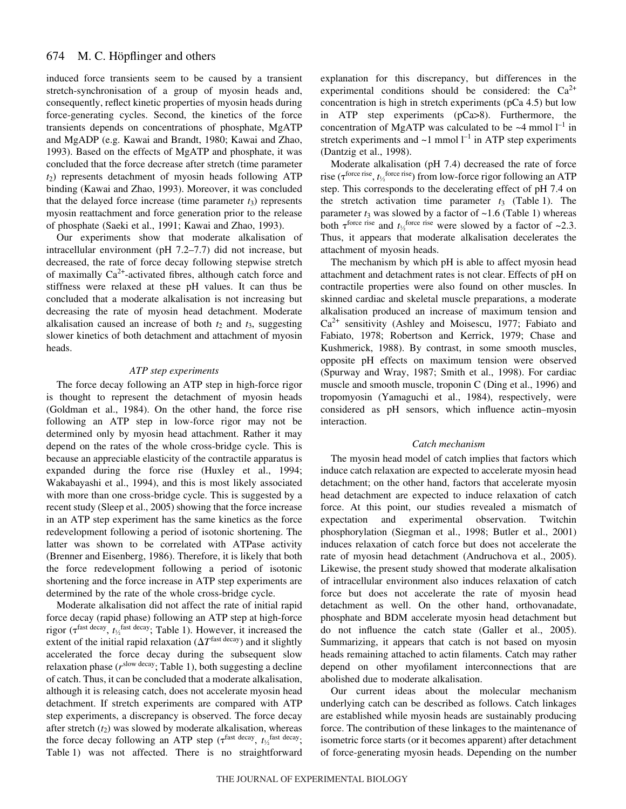induced force transients seem to be caused by a transient stretch-synchronisation of a group of myosin heads and, consequently, reflect kinetic properties of myosin heads during force-generating cycles. Second, the kinetics of the force transients depends on concentrations of phosphate, MgATP and MgADP (e.g. Kawai and Brandt, 1980; Kawai and Zhao, 1993). Based on the effects of MgATP and phosphate, it was concluded that the force decrease after stretch (time parameter *t*2) represents detachment of myosin heads following ATP binding (Kawai and Zhao, 1993). Moreover, it was concluded that the delayed force increase (time parameter  $t_3$ ) represents myosin reattachment and force generation prior to the release of phosphate (Saeki et al., 1991; Kawai and Zhao, 1993).

Our experiments show that moderate alkalisation of intracellular environment (pH 7.2–7.7) did not increase, but decreased, the rate of force decay following stepwise stretch of maximally  $Ca^{2+}$ -activated fibres, although catch force and stiffness were relaxed at these pH values. It can thus be concluded that a moderate alkalisation is not increasing but decreasing the rate of myosin head detachment. Moderate alkalisation caused an increase of both  $t_2$  and  $t_3$ , suggesting slower kinetics of both detachment and attachment of myosin heads.

# *ATP step experiments*

The force decay following an ATP step in high-force rigor is thought to represent the detachment of myosin heads (Goldman et al., 1984). On the other hand, the force rise following an ATP step in low-force rigor may not be determined only by myosin head attachment. Rather it may depend on the rates of the whole cross-bridge cycle. This is because an appreciable elasticity of the contractile apparatus is expanded during the force rise (Huxley et al., 1994; Wakabayashi et al., 1994), and this is most likely associated with more than one cross-bridge cycle. This is suggested by a recent study (Sleep et al., 2005) showing that the force increase in an ATP step experiment has the same kinetics as the force redevelopment following a period of isotonic shortening. The latter was shown to be correlated with ATPase activity (Brenner and Eisenberg, 1986). Therefore, it is likely that both the force redevelopment following a period of isotonic shortening and the force increase in ATP step experiments are determined by the rate of the whole cross-bridge cycle.

Moderate alkalisation did not affect the rate of initial rapid force decay (rapid phase) following an ATP step at high-force rigor ( $\tau^{\text{fast decay}}$ ,  $t_{\gamma}$ <sup>fast decay</sup>; Table 1). However, it increased the extent of the initial rapid relaxation  $(\Delta T^{\text{fast decay}})$  and it slightly accelerated the force decay during the subsequent slow relaxation phase  $(r^{\text{slow decay}};$  Table 1), both suggesting a decline of catch. Thus, it can be concluded that a moderate alkalisation, although it is releasing catch, does not accelerate myosin head detachment. If stretch experiments are compared with ATP step experiments, a discrepancy is observed. The force decay after stretch  $(t_2)$  was slowed by moderate alkalisation, whereas the force decay following an ATP step ( $\tau^{\text{fast decay}}$ ,  $t_{1/2}^{\text{fast decay}}$ ; Table 1) was not affected. There is no straightforward explanation for this discrepancy, but differences in the experimental conditions should be considered: the  $Ca^{2+}$ concentration is high in stretch experiments (pCa 4.5) but low in ATP step experiments (pCa>8). Furthermore, the concentration of MgATP was calculated to be  $\sim$ 4 mmol l<sup>-1</sup> in stretch experiments and  $\sim$ 1 mmol  $l^{-1}$  in ATP step experiments (Dantzig et al., 1998).

Moderate alkalisation (pH 7.4) decreased the rate of force rise ( $\tau^{\text{force rise}}$ ,  $t_{\frac{1}{2}}^{\text{force rise}}$ ) from low-force rigor following an ATP step. This corresponds to the decelerating effect of pH 7.4 on the stretch activation time parameter  $t_3$  (Table 1). The parameter  $t_3$  was slowed by a factor of  $\sim$ 1.6 (Table 1) whereas both  $\tau^{\text{force rise}}$  and  $t_1/\tau^{\text{force rise}}$  were slowed by a factor of ~2.3. Thus, it appears that moderate alkalisation decelerates the attachment of myosin heads.

The mechanism by which pH is able to affect myosin head attachment and detachment rates is not clear. Effects of pH on contractile properties were also found on other muscles. In skinned cardiac and skeletal muscle preparations, a moderate alkalisation produced an increase of maximum tension and  $Ca<sup>2+</sup>$  sensitivity (Ashley and Moisescu, 1977; Fabiato and Fabiato, 1978; Robertson and Kerrick, 1979; Chase and Kushmerick, 1988). By contrast, in some smooth muscles, opposite pH effects on maximum tension were observed (Spurway and Wray, 1987; Smith et al., 1998). For cardiac muscle and smooth muscle, troponin C (Ding et al., 1996) and tropomyosin (Yamaguchi et al., 1984), respectively, were considered as pH sensors, which influence actin–myosin interaction.

#### *Catch mechanism*

The myosin head model of catch implies that factors which induce catch relaxation are expected to accelerate myosin head detachment; on the other hand, factors that accelerate myosin head detachment are expected to induce relaxation of catch force. At this point, our studies revealed a mismatch of expectation and experimental observation. Twitchin phosphorylation (Siegman et al., 1998; Butler et al., 2001) induces relaxation of catch force but does not accelerate the rate of myosin head detachment (Andruchova et al., 2005). Likewise, the present study showed that moderate alkalisation of intracellular environment also induces relaxation of catch force but does not accelerate the rate of myosin head detachment as well. On the other hand, orthovanadate, phosphate and BDM accelerate myosin head detachment but do not influence the catch state (Galler et al., 2005). Summarizing, it appears that catch is not based on myosin heads remaining attached to actin filaments. Catch may rather depend on other myofilament interconnections that are abolished due to moderate alkalisation.

Our current ideas about the molecular mechanism underlying catch can be described as follows. Catch linkages are established while myosin heads are sustainably producing force. The contribution of these linkages to the maintenance of isometric force starts (or it becomes apparent) after detachment of force-generating myosin heads. Depending on the number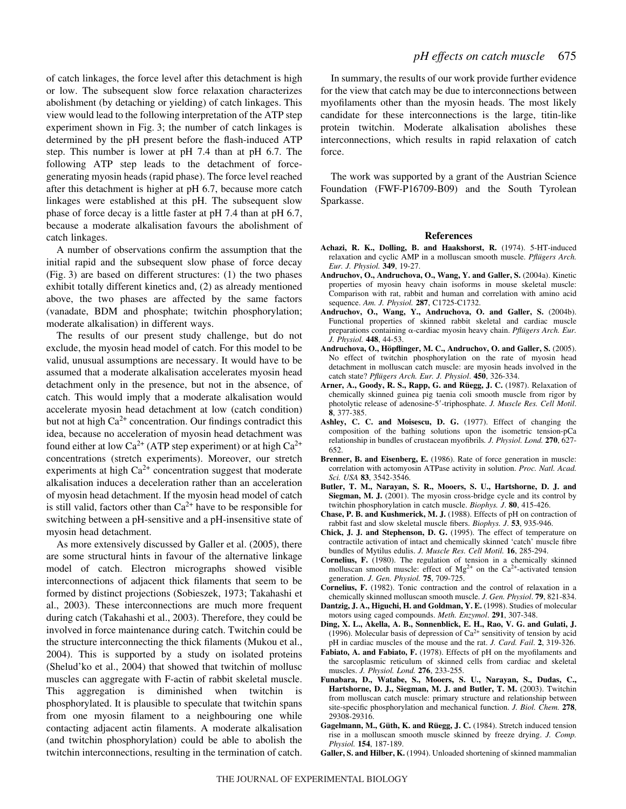of catch linkages, the force level after this detachment is high or low. The subsequent slow force relaxation characterizes abolishment (by detaching or yielding) of catch linkages. This view would lead to the following interpretation of the ATP step experiment shown in Fig. 3; the number of catch linkages is determined by the pH present before the flash-induced ATP step. This number is lower at pH 7.4 than at pH 6.7. The following ATP step leads to the detachment of forcegenerating myosin heads (rapid phase). The force level reached after this detachment is higher at pH 6.7, because more catch linkages were established at this pH. The subsequent slow phase of force decay is a little faster at pH 7.4 than at pH 6.7, because a moderate alkalisation favours the abolishment of catch linkages.

A number of observations confirm the assumption that the initial rapid and the subsequent slow phase of force decay (Fig. 3) are based on different structures:  $(1)$  the two phases exhibit totally different kinetics and, (2) as already mentioned above, the two phases are affected by the same factors (vanadate, BDM and phosphate; twitchin phosphorylation; moderate alkalisation) in different ways.

The results of our present study challenge, but do not exclude, the myosin head model of catch. For this model to be valid, unusual assumptions are necessary. It would have to be assumed that a moderate alkalisation accelerates myosin head detachment only in the presence, but not in the absence, of catch. This would imply that a moderate alkalisation would accelerate myosin head detachment at low (catch condition) but not at high  $Ca^{2+}$  concentration. Our findings contradict this idea, because no acceleration of myosin head detachment was found either at low  $Ca^{2+}$  (ATP step experiment) or at high  $Ca^{2+}$ concentrations (stretch experiments). Moreover, our stretch experiments at high  $Ca^{2+}$  concentration suggest that moderate alkalisation induces a deceleration rather than an acceleration of myosin head detachment. If the myosin head model of catch is still valid, factors other than  $Ca^{2+}$  have to be responsible for switching between a pH-sensitive and a pH-insensitive state of myosin head detachment.

As more extensively discussed by Galler et al. (2005), there are some structural hints in favour of the alternative linkage model of catch. Electron micrographs showed visible interconnections of adjacent thick filaments that seem to be formed by distinct projections (Sobieszek, 1973; Takahashi et al., 2003). These interconnections are much more frequent during catch (Takahashi et al., 2003). Therefore, they could be involved in force maintenance during catch. Twitchin could be the structure interconnecting the thick filaments (Mukou et al., 2004). This is supported by a study on isolated proteins (Shelud'ko et al., 2004) that showed that twitchin of mollusc muscles can aggregate with F-actin of rabbit skeletal muscle. This aggregation is diminished when twitchin is phosphorylated. It is plausible to speculate that twitchin spans from one myosin filament to a neighbouring one while contacting adjacent actin filaments. A moderate alkalisation (and twitchin phosphorylation) could be able to abolish the twitchin interconnections, resulting in the termination of catch.

In summary, the results of our work provide further evidence for the view that catch may be due to interconnections between myofilaments other than the myosin heads. The most likely candidate for these interconnections is the large, titin-like protein twitchin. Moderate alkalisation abolishes these interconnections, which results in rapid relaxation of catch force.

The work was supported by a grant of the Austrian Science Foundation (FWF-P16709-B09) and the South Tyrolean Sparkasse.

#### **References**

- **Achazi, R. K., Dolling, B. and Haakshorst, R.** (1974). 5-HT-induced relaxation and cyclic AMP in a molluscan smooth muscle. *Pflügers Arch. Eur. J. Physiol.* **349**, 19-27.
- **Andruchov, O., Andruchova, O., Wang, Y. and Galler, S.** (2004a). Kinetic properties of myosin heavy chain isoforms in mouse skeletal muscle: Comparison with rat, rabbit and human and correlation with amino acid sequence. *Am. J. Physiol.* **287**, C1725-C1732.
- **Andruchov, O., Wang, Y., Andruchova, O. and Galler, S.** (2004b). Functional properties of skinned rabbit skeletal and cardiac muscle preparations containing  $\alpha$ -cardiac myosin heavy chain. *Pflügers Arch. Eur. J. Physiol.* **448**, 44-53.
- **Andruchova, O., Höpflinger, M. C., Andruchov, O. and Galler, S.** (2005). No effect of twitchin phosphorylation on the rate of myosin head detachment in molluscan catch muscle: are myosin heads involved in the catch state? *Pflügers Arch. Eur. J. Physiol*. **450**, 326-334.
- **Arner, A., Goody, R. S., Rapp, G. and Rüegg, J. C.** (1987). Relaxation of chemically skinned guinea pig taenia coli smooth muscle from rigor by photolytic release of adenosine-5'-triphosphate. *J. Muscle Res. Cell Motil.* **8**, 377-385.
- **Ashley, C. C. and Moisescu, D. G.** (1977). Effect of changing the composition of the bathing solutions upon the isometric tension-pCa relationship in bundles of crustacean myofibrils*. J. Physiol. Lond.* **270**, 627- 652.
- **Brenner, B. and Eisenberg, E.** (1986). Rate of force generation in muscle: correlation with actomyosin ATPase activity in solution. *Proc. Natl. Acad. Sci. USA* **83**, 3542-3546.
- **Butler, T. M., Narayan, S. R., Mooers, S. U., Hartshorne, D. J. and Siegman, M. J.** (2001). The myosin cross-bridge cycle and its control by twitchin phosphorylation in catch muscle. *Biophys. J*. **80**, 415-426.
- **Chase, P. B. and Kushmerick, M. J.** (1988). Effects of pH on contraction of rabbit fast and slow skeletal muscle fibers. *Biophys. J*. **53**, 935-946.
- **Chick, J. J. and Stephenson, D. G.** (1995). The effect of temperature on contractile activation of intact and chemically skinned 'catch' muscle fibre bundles of Mytilus edulis. *J. Muscle Res. Cell Motil.* **16**, 285-294.
- **Cornelius, F.** (1980). The regulation of tension in a chemically skinned molluscan smooth muscle: effect of  $Mg^{2+}$  on the Ca<sup>2+</sup>-activated tension generation. *J. Gen. Physiol.* **75**, 709-725.
- **Cornelius, F.** (1982). Tonic contraction and the control of relaxation in a chemically skinned molluscan smooth muscle. *J. Gen. Physiol*. **79**, 821-834.
- **Dantzig, J. A., Higuchi, H. and Goldman, Y. E.** (1998). Studies of molecular motors using caged compounds. *Meth. Enzymol*. **291**, 307-348.
- **Ding, X. L., Akella, A. B., Sonnenblick, E. H., Rao, V. G. and Gulati, J.** (1996). Molecular basis of depression of  $Ca^{2+}$  sensitivity of tension by acid pH in cardiac muscles of the mouse and the rat. *J. Card. Fail*. **2**, 319-326.
- **Fabiato, A. and Fabiato, F.** (1978). Effects of pH on the myofilaments and the sarcoplasmic reticulum of skinned cells from cardiac and skeletal muscles. *J. Physiol. Lond.* **276**, 233-255.
- **Funabara, D., Watabe, S., Mooers, S. U., Narayan, S., Dudas, C., Hartshorne, D. J., Siegman, M. J. and Butler, T. M.** (2003). Twitchin from molluscan catch muscle: primary structure and relationship between site-specific phosphorylation and mechanical function. *J. Biol. Chem.* **278**, 29308-29316.
- **Gagelmann, M., Güth, K. and Rüegg, J. C.** (1984). Stretch induced tension rise in a molluscan smooth muscle skinned by freeze drying. *J. Comp. Physiol.* **154**, 187-189.
- **Galler, S. and Hilber, K.** (1994). Unloaded shortening of skinned mammalian